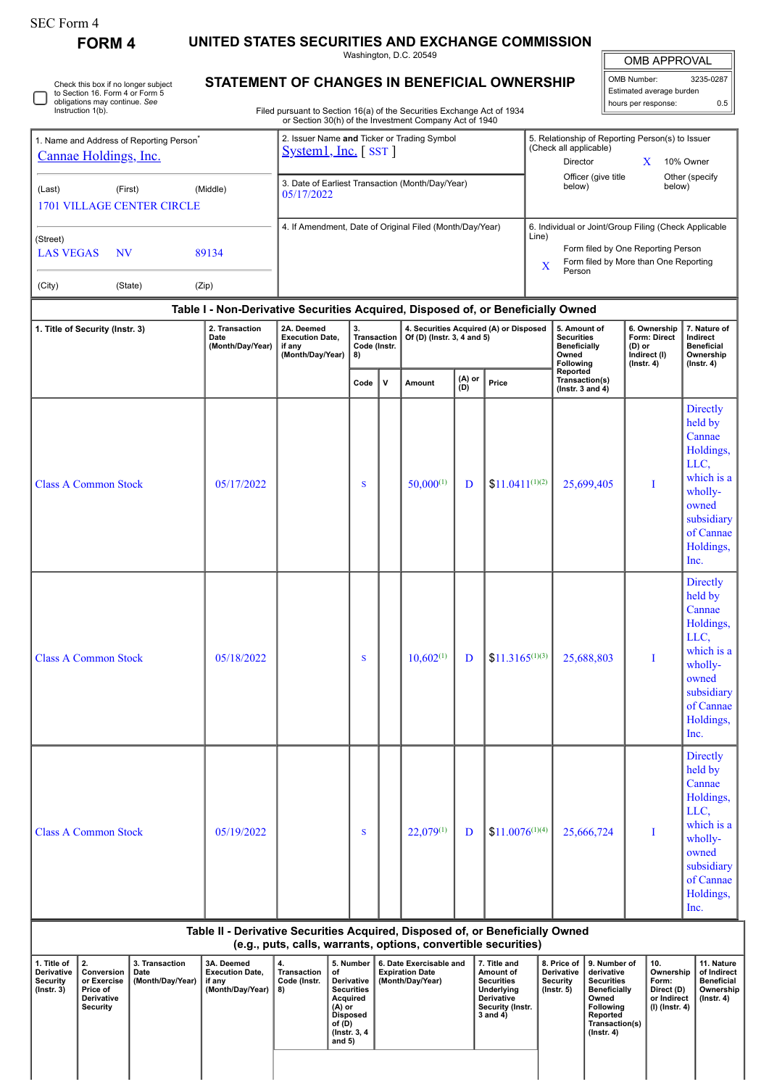| SEC Form 4 |
|------------|
|------------|

**Derivative Security**

**FORM 4 UNITED STATES SECURITIES AND EXCHANGE COMMISSION**

Washington, D.C. 20549

| OMB APPROVAL |
|--------------|
|              |

**STATEMENT OF CHANGES IN BENEFICIAL OWNERSHIP** Filed pursuant to Section 16(a) of the Securities Exchange Act of 1934 or Section 30(h) of the Investment Company Act of 1940 OMB Number: 3235-0287 Estimated average burden hours per response: 0.5 Check this box if no longer subject to Section 16. Form 4 or Form 5 obligations may continue. *See* Instruction 1(b). 1. Name and Address of Reporting Person\* [Cannae Holdings, Inc.](http://www.sec.gov/cgi-bin/browse-edgar?action=getcompany&CIK=0001704720) (Last) (First) (Middle) 1701 VILLAGE CENTER CIRCLE (Street) LAS VEGAS NV 89134 (City) (State) (Zip) 2. Issuer Name **and** Ticker or Trading Symbol [System1, Inc.](http://www.sec.gov/cgi-bin/browse-edgar?action=getcompany&CIK=0001805833) [ SST ] 5. Relationship of Reporting Person(s) to Issuer (Check all applicable) Director **X** 10% Owner Officer (give title below) Other (specify 3. Date of Earliest Transaction (Month/Day/Year) end of the University of the University of the University of the University of the University of the University of the University of the University of the University of the 05/17/2022 4. If Amendment, Date of Original Filed (Month/Day/Year) 6. Individual or Joint/Group Filing (Check Applicable Line) Form filed by One Reporting Person X Form filed by More than One Reporting Person **Table I - Non-Derivative Securities Acquired, Disposed of, or Beneficially Owned 1. Title of Security (Instr. 3) 2. Transaction** 2. Transaction<br>Date **(Month/Day/Year) 2A. Deemed Execution Date, if any (Month/Day/Year) 3. Transaction Code (Instr. 8) 4. Securities Acquired (A) or Disposed Of (D) (Instr. 3, 4 and 5) 5. Amount of Securities Beneficially Owned Following Reported Transaction(s) (Instr. 3 and 4) 6. Ownership Form: Direct (D) or Indirect (I) (Instr. 4) 7. Nature of Indirect Beneficial Ownership (Instr. 4) Code <sup>V</sup> Amount (A) or (D) Price** Class A Common Stock 05/17/2022 S 50,000(1) D \$11.0411 (1)(2) 25,699,405 I **Directly** held by **Cannae** Holdings, LLC, which is a whollyowned subsidiary of Cannae Holdings, Inc. Class A Common Stock 05/18/2022 S 10,602(1) D \$11.3165(1)(3) 25,688,803 I **Directly** held by Cannae Holdings, LLC, which is a whollyowned subsidiary of Cannae Holdings, Inc. Class A Common Stock 05/19/2022 S 22,079(1) D \$11.0076(1)(4) 25,666,724 I **Directly** held by **Cannae** Holdings, LLC, which is a whollyowned subsidiary of Cannae Holdings, Inc. **Table II - Derivative Securities Acquired, Disposed of, or Beneficially Owned (e.g., puts, calls, warrants, options, convertible securities) 1. Title of Derivative Security (Instr. 3) 2. Conversion or Exercise Price of 3. Transaction Date (Month/Day/Year) 3A. Deemed Execution Date, if any (Month/Day/Year) 4. Transaction Code (Instr. 8) 5. Number of Derivative Securities 6. Date Exercisable and Expiration Date (Month/Day/Year) 7. Title and Amount of Securities Underlying 8. Price of Derivative Security (Instr. 5) 9. Number of derivative Securities Beneficially 10. Ownership Form: Direct (D) 11. Nature of Indirect Beneficial Ownership**

**Acquired (A) or Disposed of (D) (Instr. 3, 4 and 5)** **Derivative Security (Instr. 3 and 4)** **Owned Following Reported Transaction(s) (Instr. 4)**

**or Indirect (I) (Instr. 4)** **(Instr. 4)**